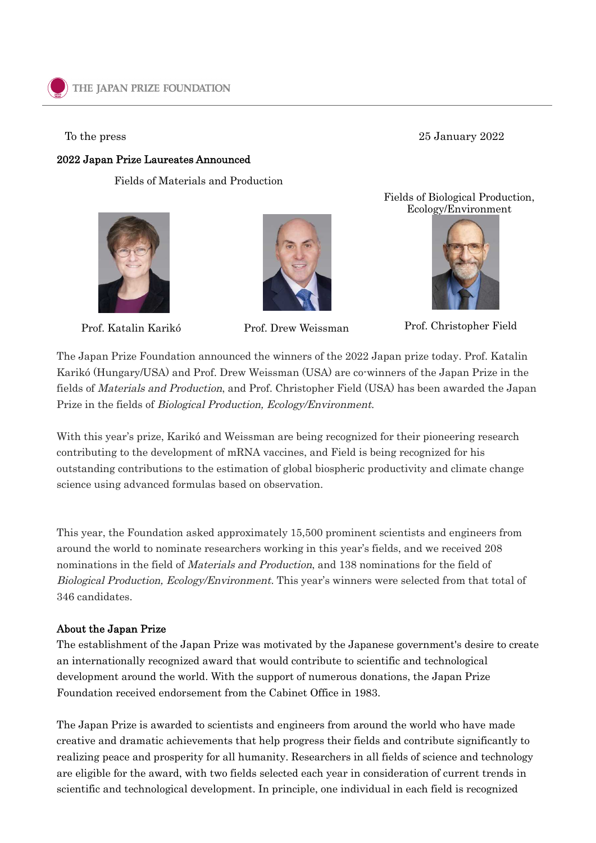## To the press

## 25 January 2022

## 2022 Japan Prize Laureates Announced

Fields of Materials and Production





Fields of Biological Production, Ecology/Environment



Prof. Katalin Karikó Prof. Drew Weissman Prof. Christopher Field

The Japan Prize Foundation announced the winners of the 2022 Japan prize today. Prof. Katalin Karikó (Hungary/USA) and Prof. Drew Weissman (USA) are co-winners of the Japan Prize in the fields of Materials and Production, and Prof. Christopher Field (USA) has been awarded the Japan Prize in the fields of Biological Production, Ecology/Environment.

With this year's prize, Karikó and Weissman are being recognized for their pioneering research contributing to the development of mRNA vaccines, and Field is being recognized for his outstanding contributions to the estimation of global biospheric productivity and climate change science using advanced formulas based on observation.

This year, the Foundation asked approximately 15,500 prominent scientists and engineers from around the world to nominate researchers working in this year's fields, and we received 208 nominations in the field of Materials and Production, and 138 nominations for the field of Biological Production, Ecology/Environment. This year's winners were selected from that total of 346 candidates.

## About the Japan Prize

The establishment of the Japan Prize was motivated by the Japanese government's desire to create an internationally recognized award that would contribute to scientific and technological development around the world. With the support of numerous donations, the Japan Prize Foundation received endorsement from the Cabinet Office in 1983.

The Japan Prize is awarded to scientists and engineers from around the world who have made creative and dramatic achievements that help progress their fields and contribute significantly to realizing peace and prosperity for all humanity. Researchers in all fields of science and technology are eligible for the award, with two fields selected each year in consideration of current trends in scientific and technological development. In principle, one individual in each field is recognized